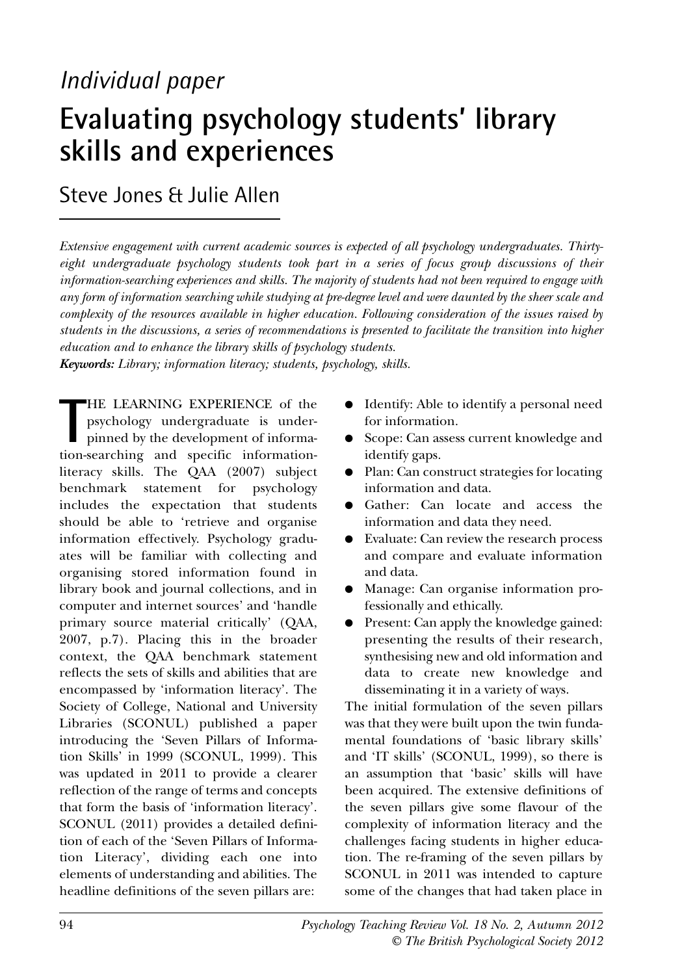# *Individual paper*

# **Evaluating psychology students' library skills and experiences**

Steve Jones & Julie Allen

*Extensive engagement with current academic sources is expected of all psychology undergraduates. Thirtyeight undergraduate psychology students took part in a series of focus group discussions of their information-searching experiences and skills. The majority of students had not been required to engage with any form of information searching while studying at pre-degree level and were daunted by the sheer scale and complexity of the resources available in higher education. Following consideration of the issues raised by students in the discussions, a series of recommendations is presented to facilitate the transition into higher education and to enhance the library skills of psychology students.*

*Keywords: Library; information literacy; students, psychology, skills.*

THE LEARNING EXPERIENCE of the psychology undergraduate is under-<br>pinned by the development of information-searching and specific information-HE LEARNING EXPERIENCE of the psychology undergraduate is underpinned by the development of informaliteracy skills. The QAA (2007) subject benchmark statement for psychology includes the expectation that students should be able to 'retrieve and organise information effectively. Psychology graduates will be familiar with collecting and organising stored information found in library book and journal collections, and in computer and internet sources' and 'handle primary source material critically' (QAA, 2007, p.7). Placing this in the broader context, the QAA benchmark statement reflects the sets of skills and abilities that are encompassed by 'information literacy'. The Society of College, National and University Libraries (SCONUL) published a paper introducing the 'Seven Pillars of Information Skills' in 1999 (SCONUL, 1999). This was updated in 2011 to provide a clearer reflection of the range of terms and concepts that form the basis of 'information literacy'. SCONUL (2011) provides a detailed definition of each of the 'Seven Pillars of Information Literacy', dividing each one into elements of understanding and abilities. The headline definitions of the seven pillars are:

- Identify: Able to identify a personal need for information.
- Scope: Can assess current knowledge and identify gaps.
- Plan: Can construct strategies for locating information and data.
- Gather: Can locate and access the information and data they need.
- Evaluate: Can review the research process and compare and evaluate information and data.
- Manage: Can organise information professionally and ethically.
- Present: Can apply the knowledge gained: presenting the results of their research, synthesising new and old information and data to create new knowledge and disseminating it in a variety of ways.

The initial formulation of the seven pillars was that they were built upon the twin fundamental foundations of 'basic library skills' and 'IT skills' (SCONUL, 1999), so there is an assumption that 'basic' skills will have been acquired. The extensive definitions of the seven pillars give some flavour of the complexity of information literacy and the challenges facing students in higher education. The re-framing of the seven pillars by SCONUL in 2011 was intended to capture some of the changes that had taken place in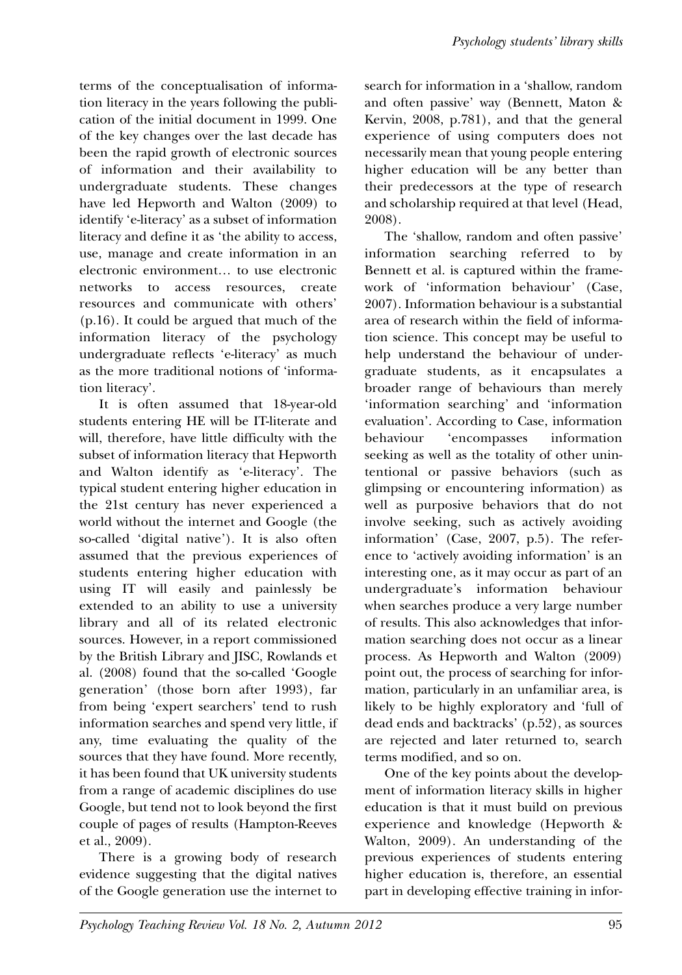terms of the conceptualisation of information literacy in the years following the publication of the initial document in 1999. One of the key changes over the last decade has been the rapid growth of electronic sources of information and their availability to undergraduate students. These changes have led Hepworth and Walton (2009) to identify 'e-literacy' as a subset of information literacy and define it as 'the ability to access, use, manage and create information in an electronic environment… to use electronic networks to access resources, create resources and communicate with others' (p.16). It could be argued that much of the information literacy of the psychology undergraduate reflects 'e-literacy' as much as the more traditional notions of 'information literacy'.

It is often assumed that 18-year-old students entering HE will be IT-literate and will, therefore, have little difficulty with the subset of information literacy that Hepworth and Walton identify as 'e-literacy'. The typical student entering higher education in the 21st century has never experienced a world without the internet and Google (the so-called 'digital native'). It is also often assumed that the previous experiences of students entering higher education with using IT will easily and painlessly be extended to an ability to use a university library and all of its related electronic sources. However, in a report commissioned by the British Library and JISC, Rowlands et al. (2008) found that the so-called 'Google generation' (those born after 1993), far from being 'expert searchers' tend to rush information searches and spend very little, if any, time evaluating the quality of the sources that they have found. More recently, it has been found that UK university students from a range of academic disciplines do use Google, but tend not to look beyond the first couple of pages of results (Hampton-Reeves et al., 2009).

There is a growing body of research evidence suggesting that the digital natives of the Google generation use the internet to search for information in a 'shallow, random and often passive' way (Bennett, Maton & Kervin, 2008, p.781), and that the general experience of using computers does not necessarily mean that young people entering higher education will be any better than their predecessors at the type of research and scholarship required at that level (Head, 2008).

The 'shallow, random and often passive' information searching referred to by Bennett et al. is captured within the framework of 'information behaviour' (Case, 2007). Information behaviour is a substantial area of research within the field of information science. This concept may be useful to help understand the behaviour of undergraduate students, as it encapsulates a broader range of behaviours than merely 'information searching' and 'information evaluation'. According to Case, information behaviour 'encompasses information seeking as well as the totality of other unintentional or passive behaviors (such as glimpsing or encountering information) as well as purposive behaviors that do not involve seeking, such as actively avoiding information' (Case, 2007, p.5). The reference to 'actively avoiding information' is an interesting one, as it may occur as part of an undergraduate's information behaviour when searches produce a very large number of results. This also acknowledges that information searching does not occur as a linear process. As Hepworth and Walton (2009) point out, the process of searching for information, particularly in an unfamiliar area, is likely to be highly exploratory and 'full of dead ends and backtracks' (p.52), as sources are rejected and later returned to, search terms modified, and so on.

One of the key points about the development of information literacy skills in higher education is that it must build on previous experience and knowledge (Hepworth & Walton, 2009). An understanding of the previous experiences of students entering higher education is, therefore, an essential part in developing effective training in infor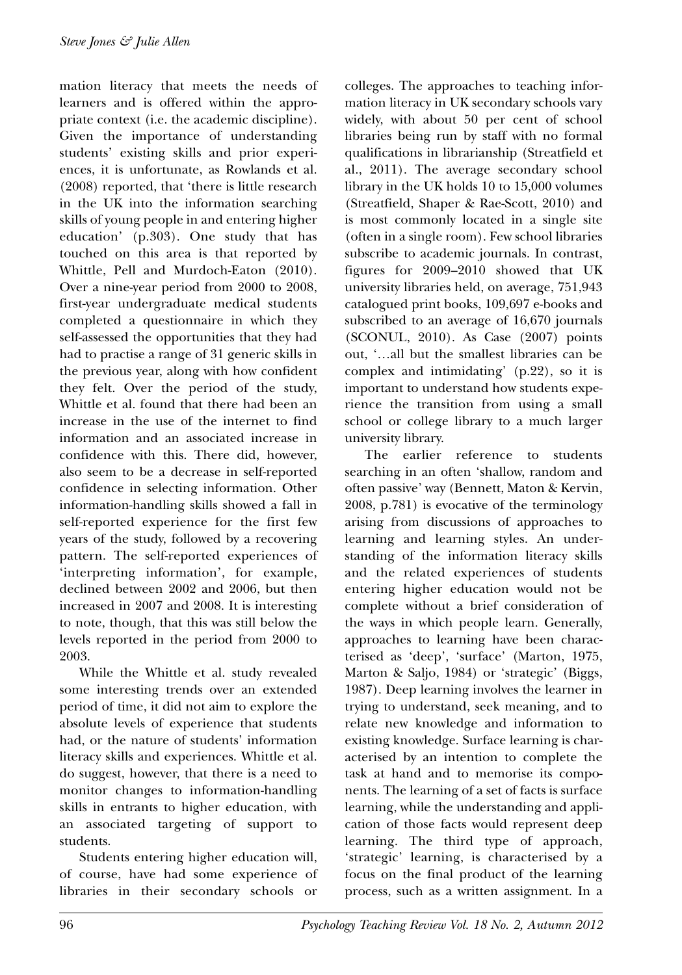mation literacy that meets the needs of learners and is offered within the appropriate context (i.e. the academic discipline). Given the importance of understanding students' existing skills and prior experiences, it is unfortunate, as Rowlands et al. (2008) reported, that 'there is little research in the UK into the information searching skills of young people in and entering higher education' (p.303). One study that has touched on this area is that reported by Whittle, Pell and Murdoch-Eaton (2010). Over a nine-year period from 2000 to 2008, first-year undergraduate medical students completed a questionnaire in which they self-assessed the opportunities that they had had to practise a range of 31 generic skills in the previous year, along with how confident they felt. Over the period of the study, Whittle et al. found that there had been an increase in the use of the internet to find information and an associated increase in confidence with this. There did, however, also seem to be a decrease in self-reported confidence in selecting information. Other information-handling skills showed a fall in self-reported experience for the first few years of the study, followed by a recovering pattern. The self-reported experiences of 'interpreting information', for example, declined between 2002 and 2006, but then increased in 2007 and 2008. It is interesting to note, though, that this was still below the levels reported in the period from 2000 to 2003.

While the Whittle et al. study revealed some interesting trends over an extended period of time, it did not aim to explore the absolute levels of experience that students had, or the nature of students' information literacy skills and experiences. Whittle et al. do suggest, however, that there is a need to monitor changes to information-handling skills in entrants to higher education, with an associated targeting of support to students.

Students entering higher education will, of course, have had some experience of libraries in their secondary schools or colleges. The approaches to teaching information literacy in UK secondary schools vary widely, with about 50 per cent of school libraries being run by staff with no formal qualifications in librarianship (Streatfield et al., 2011). The average secondary school library in the UK holds 10 to 15,000 volumes (Streatfield, Shaper & Rae-Scott, 2010) and is most commonly located in a single site (often in a single room). Few school libraries subscribe to academic journals. In contrast, figures for 2009–2010 showed that UK university libraries held, on average, 751,943 catalogued print books, 109,697 e-books and subscribed to an average of 16,670 journals (SCONUL, 2010). As Case (2007) points out, '…all but the smallest libraries can be complex and intimidating' (p.22), so it is important to understand how students experience the transition from using a small school or college library to a much larger university library.

The earlier reference to students searching in an often 'shallow, random and often passive' way (Bennett, Maton & Kervin, 2008, p.781) is evocative of the terminology arising from discussions of approaches to learning and learning styles. An understanding of the information literacy skills and the related experiences of students entering higher education would not be complete without a brief consideration of the ways in which people learn. Generally, approaches to learning have been characterised as 'deep', 'surface' (Marton, 1975, Marton & Saljo, 1984) or 'strategic' (Biggs, 1987). Deep learning involves the learner in trying to understand, seek meaning, and to relate new knowledge and information to existing knowledge. Surface learning is characterised by an intention to complete the task at hand and to memorise its components. The learning of a set of facts is surface learning, while the understanding and application of those facts would represent deep learning. The third type of approach, 'strategic' learning, is characterised by a focus on the final product of the learning process, such as a written assignment. In a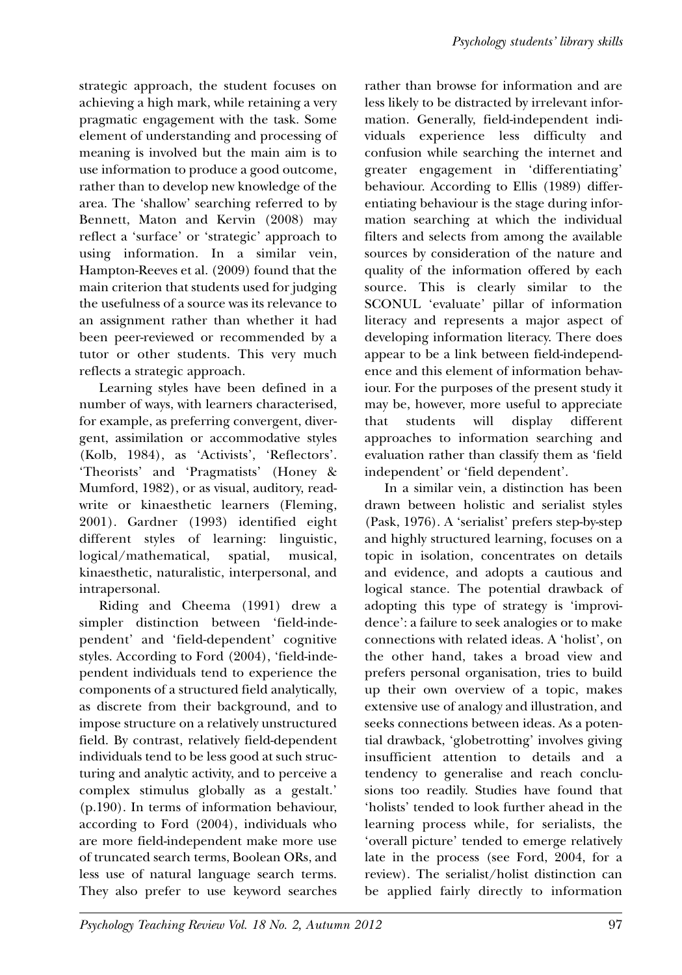strategic approach, the student focuses on achieving a high mark, while retaining a very pragmatic engagement with the task. Some element of understanding and processing of meaning is involved but the main aim is to use information to produce a good outcome, rather than to develop new knowledge of the area. The 'shallow' searching referred to by Bennett, Maton and Kervin (2008) may reflect a 'surface' or 'strategic' approach to using information. In a similar vein, Hampton-Reeves et al. (2009) found that the main criterion that students used for judging the usefulness of a source was its relevance to an assignment rather than whether it had been peer-reviewed or recommended by a tutor or other students. This very much reflects a strategic approach.

Learning styles have been defined in a number of ways, with learners characterised, for example, as preferring convergent, divergent, assimilation or accommodative styles (Kolb, 1984), as 'Activists', 'Reflectors'. 'Theorists' and 'Pragmatists' (Honey & Mumford, 1982), or as visual, auditory, readwrite or kinaesthetic learners (Fleming, 2001). Gardner (1993) identified eight different styles of learning: linguistic, logical/mathematical, spatial, musical, kinaesthetic, naturalistic, interpersonal, and intrapersonal.

Riding and Cheema (1991) drew a simpler distinction between 'field-independent' and 'field-dependent' cognitive styles. According to Ford (2004), 'field-independent individuals tend to experience the components of a structured field analytically, as discrete from their background, and to impose structure on a relatively unstructured field. By contrast, relatively field-dependent individuals tend to be less good at such structuring and analytic activity, and to perceive a complex stimulus globally as a gestalt.' (p.190). In terms of information behaviour, according to Ford (2004), individuals who are more field-independent make more use of truncated search terms, Boolean ORs, and less use of natural language search terms. They also prefer to use keyword searches

rather than browse for information and are less likely to be distracted by irrelevant information. Generally, field-independent individuals experience less difficulty and confusion while searching the internet and greater engagement in 'differentiating' behaviour. According to Ellis (1989) differentiating behaviour is the stage during information searching at which the individual filters and selects from among the available sources by consideration of the nature and quality of the information offered by each source. This is clearly similar to the SCONUL 'evaluate' pillar of information literacy and represents a major aspect of developing information literacy. There does appear to be a link between field-independence and this element of information behaviour. For the purposes of the present study it may be, however, more useful to appreciate that students will display different approaches to information searching and evaluation rather than classify them as 'field independent' or 'field dependent'.

In a similar vein, a distinction has been drawn between holistic and serialist styles (Pask, 1976). A 'serialist' prefers step-by-step and highly structured learning, focuses on a topic in isolation, concentrates on details and evidence, and adopts a cautious and logical stance. The potential drawback of adopting this type of strategy is 'improvidence': a failure to seek analogies or to make connections with related ideas. A 'holist', on the other hand, takes a broad view and prefers personal organisation, tries to build up their own overview of a topic, makes extensive use of analogy and illustration, and seeks connections between ideas. As a potential drawback, 'globetrotting' involves giving insufficient attention to details and a tendency to generalise and reach conclusions too readily. Studies have found that 'holists' tended to look further ahead in the learning process while, for serialists, the 'overall picture' tended to emerge relatively late in the process (see Ford, 2004, for a review). The serialist/holist distinction can be applied fairly directly to information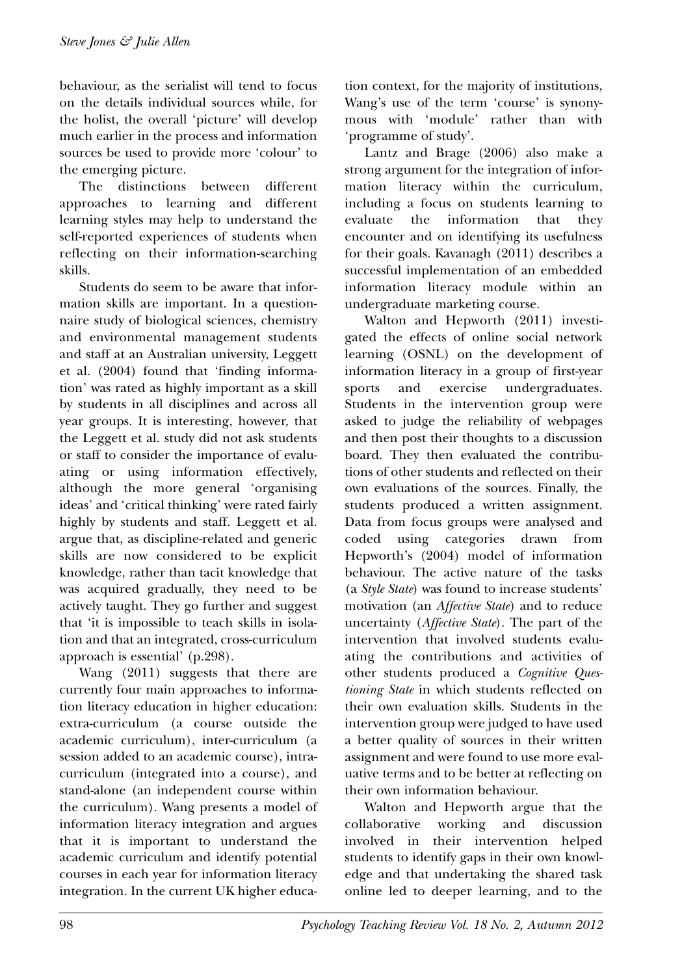behaviour, as the serialist will tend to focus on the details individual sources while, for the holist, the overall 'picture' will develop much earlier in the process and information sources be used to provide more 'colour' to the emerging picture.

The distinctions between different approaches to learning and different learning styles may help to understand the self-reported experiences of students when reflecting on their information-searching skills.

Students do seem to be aware that information skills are important. In a questionnaire study of biological sciences, chemistry and environmental management students and staff at an Australian university, Leggett et al. (2004) found that 'finding information' was rated as highly important as a skill by students in all disciplines and across all year groups. It is interesting, however, that the Leggett et al. study did not ask students or staff to consider the importance of evaluating or using information effectively, although the more general 'organising ideas' and 'critical thinking' were rated fairly highly by students and staff. Leggett et al. argue that, as discipline-related and generic skills are now considered to be explicit knowledge, rather than tacit knowledge that was acquired gradually, they need to be actively taught. They go further and suggest that 'it is impossible to teach skills in isolation and that an integrated, cross-curriculum approach is essential' (p.298).

Wang (2011) suggests that there are currently four main approaches to information literacy education in higher education: extra-curriculum (a course outside the academic curriculum), inter-curriculum (a session added to an academic course), intracurriculum (integrated into a course), and stand-alone (an independent course within the curriculum). Wang presents a model of information literacy integration and argues that it is important to understand the academic curriculum and identify potential courses in each year for information literacy integration. In the current UK higher education context, for the majority of institutions, Wang's use of the term 'course' is synonymous with 'module' rather than with 'programme of study'.

Lantz and Brage (2006) also make a strong argument for the integration of information literacy within the curriculum, including a focus on students learning to evaluate the information that they encounter and on identifying its usefulness for their goals. Kavanagh (2011) describes a successful implementation of an embedded information literacy module within an undergraduate marketing course.

Walton and Hepworth (2011) investigated the effects of online social network learning (OSNL) on the development of information literacy in a group of first-year sports and exercise undergraduates. Students in the intervention group were asked to judge the reliability of webpages and then post their thoughts to a discussion board. They then evaluated the contributions of other students and reflected on their own evaluations of the sources. Finally, the students produced a written assignment. Data from focus groups were analysed and coded using categories drawn from Hepworth's (2004) model of information behaviour. The active nature of the tasks (a *Style State*) was found to increase students' motivation (an *Affective State*) and to reduce uncertainty (*Affective State*). The part of the intervention that involved students evaluating the contributions and activities of other students produced a *Cognitive Questioning State* in which students reflected on their own evaluation skills. Students in the intervention group were judged to have used a better quality of sources in their written assignment and were found to use more evaluative terms and to be better at reflecting on their own information behaviour.

Walton and Hepworth argue that the collaborative working and discussion involved in their intervention helped students to identify gaps in their own knowledge and that undertaking the shared task online led to deeper learning, and to the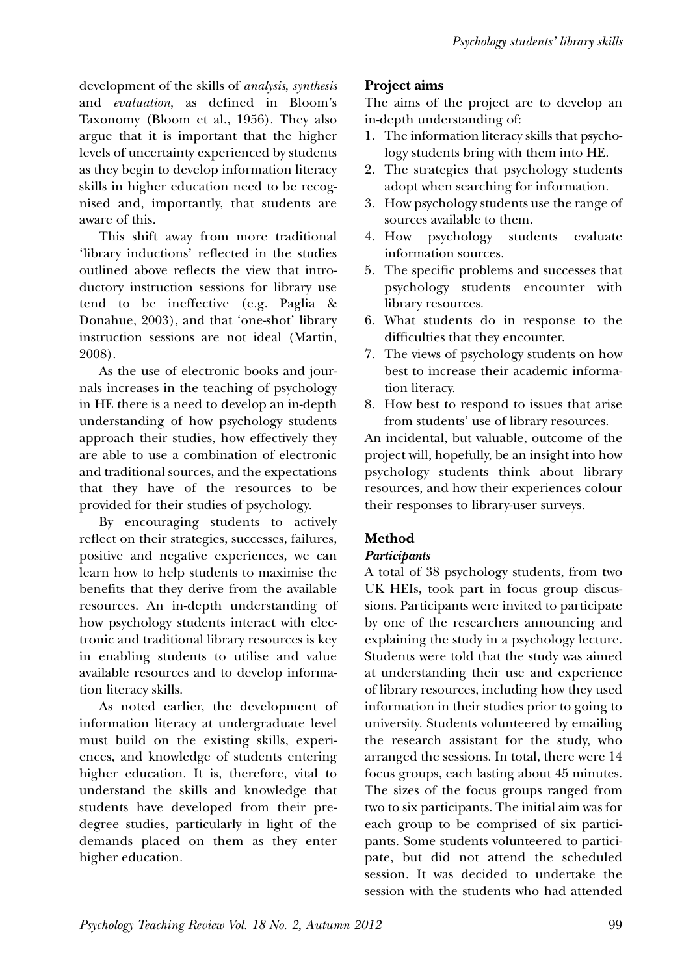development of the skills of *analysis*, *synthesis* and *evaluation*, as defined in Bloom's Taxonomy (Bloom et al., 1956). They also argue that it is important that the higher levels of uncertainty experienced by students as they begin to develop information literacy skills in higher education need to be recognised and, importantly, that students are aware of this.

This shift away from more traditional 'library inductions' reflected in the studies outlined above reflects the view that introductory instruction sessions for library use tend to be ineffective (e.g. Paglia & Donahue, 2003), and that 'one-shot' library instruction sessions are not ideal (Martin, 2008).

As the use of electronic books and journals increases in the teaching of psychology in HE there is a need to develop an in-depth understanding of how psychology students approach their studies, how effectively they are able to use a combination of electronic and traditional sources, and the expectations that they have of the resources to be provided for their studies of psychology.

By encouraging students to actively reflect on their strategies, successes, failures, positive and negative experiences, we can learn how to help students to maximise the benefits that they derive from the available resources. An in-depth understanding of how psychology students interact with electronic and traditional library resources is key in enabling students to utilise and value available resources and to develop information literacy skills.

As noted earlier, the development of information literacy at undergraduate level must build on the existing skills, experiences, and knowledge of students entering higher education. It is, therefore, vital to understand the skills and knowledge that students have developed from their predegree studies, particularly in light of the demands placed on them as they enter higher education.

# **Project aims**

The aims of the project are to develop an in-depth understanding of:

- 1. The information literacy skills that psychology students bring with them into HE.
- 2. The strategies that psychology students adopt when searching for information.
- 3. How psychology students use the range of sources available to them.
- 4. How psychology students evaluate information sources.
- 5. The specific problems and successes that psychology students encounter with library resources.
- 6. What students do in response to the difficulties that they encounter.
- 7. The views of psychology students on how best to increase their academic information literacy.
- 8. How best to respond to issues that arise from students' use of library resources.

An incidental, but valuable, outcome of the project will, hopefully, be an insight into how psychology students think about library resources, and how their experiences colour their responses to library-user surveys.

# **Method**

## *Participants*

A total of 38 psychology students, from two UK HEIs, took part in focus group discussions. Participants were invited to participate by one of the researchers announcing and explaining the study in a psychology lecture. Students were told that the study was aimed at understanding their use and experience of library resources, including how they used information in their studies prior to going to university. Students volunteered by emailing the research assistant for the study, who arranged the sessions. In total, there were 14 focus groups, each lasting about 45 minutes. The sizes of the focus groups ranged from two to six participants. The initial aim was for each group to be comprised of six participants. Some students volunteered to participate, but did not attend the scheduled session. It was decided to undertake the session with the students who had attended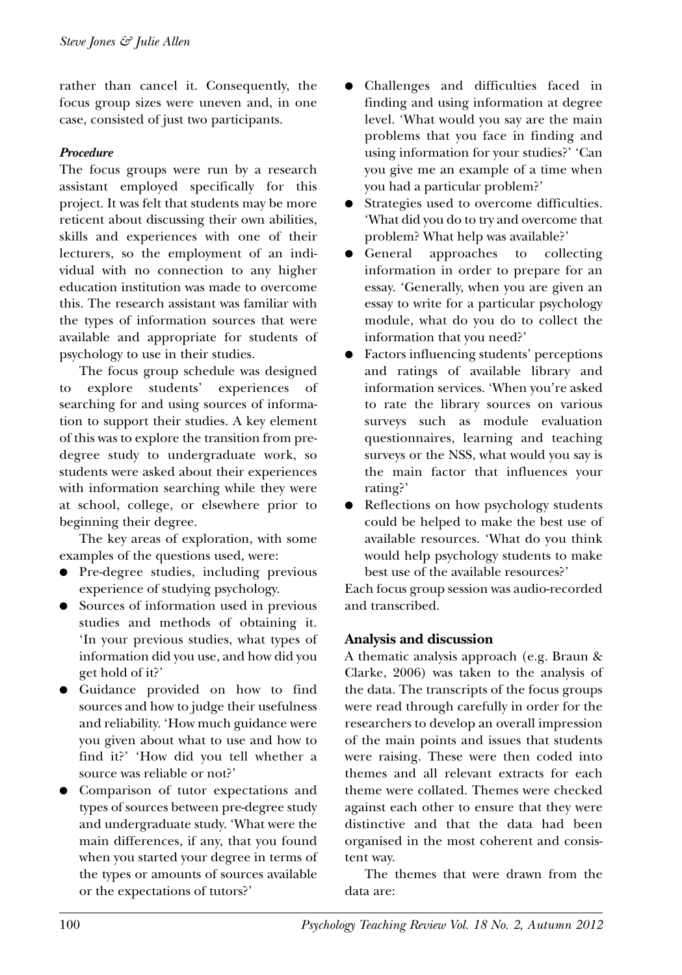rather than cancel it. Consequently, the focus group sizes were uneven and, in one case, consisted of just two participants.

#### *Procedure*

The focus groups were run by a research assistant employed specifically for this project. It was felt that students may be more reticent about discussing their own abilities, skills and experiences with one of their lecturers, so the employment of an individual with no connection to any higher education institution was made to overcome this. The research assistant was familiar with the types of information sources that were available and appropriate for students of psychology to use in their studies.

The focus group schedule was designed to explore students' experiences of searching for and using sources of information to support their studies. A key element of this was to explore the transition from predegree study to undergraduate work, so students were asked about their experiences with information searching while they were at school, college, or elsewhere prior to beginning their degree.

The key areas of exploration, with some examples of the questions used, were:

- Pre-degree studies, including previous experience of studying psychology.
- Sources of information used in previous studies and methods of obtaining it. 'In your previous studies, what types of information did you use, and how did you get hold of it?'
- Guidance provided on how to find sources and how to judge their usefulness and reliability. 'How much guidance were you given about what to use and how to find it?' 'How did you tell whether a source was reliable or not?'
- Comparison of tutor expectations and types of sources between pre-degree study and undergraduate study. 'What were the main differences, if any, that you found when you started your degree in terms of the types or amounts of sources available or the expectations of tutors?'
- Challenges and difficulties faced in finding and using information at degree level. 'What would you say are the main problems that you face in finding and using information for your studies?' 'Can you give me an example of a time when you had a particular problem?'
- Strategies used to overcome difficulties. 'What did you do to try and overcome that problem? What help was available?'
- General approaches to collecting information in order to prepare for an essay. 'Generally, when you are given an essay to write for a particular psychology module, what do you do to collect the information that you need?'
- Factors influencing students' perceptions and ratings of available library and information services. 'When you're asked to rate the library sources on various surveys such as module evaluation questionnaires, learning and teaching surveys or the NSS, what would you say is the main factor that influences your rating?'
- Reflections on how psychology students could be helped to make the best use of available resources. 'What do you think would help psychology students to make best use of the available resources?'

Each focus group session was audio-recorded and transcribed.

#### **Analysis and discussion**

A thematic analysis approach (e.g. Braun & Clarke, 2006) was taken to the analysis of the data. The transcripts of the focus groups were read through carefully in order for the researchers to develop an overall impression of the main points and issues that students were raising. These were then coded into themes and all relevant extracts for each theme were collated. Themes were checked against each other to ensure that they were distinctive and that the data had been organised in the most coherent and consistent way.

The themes that were drawn from the data are: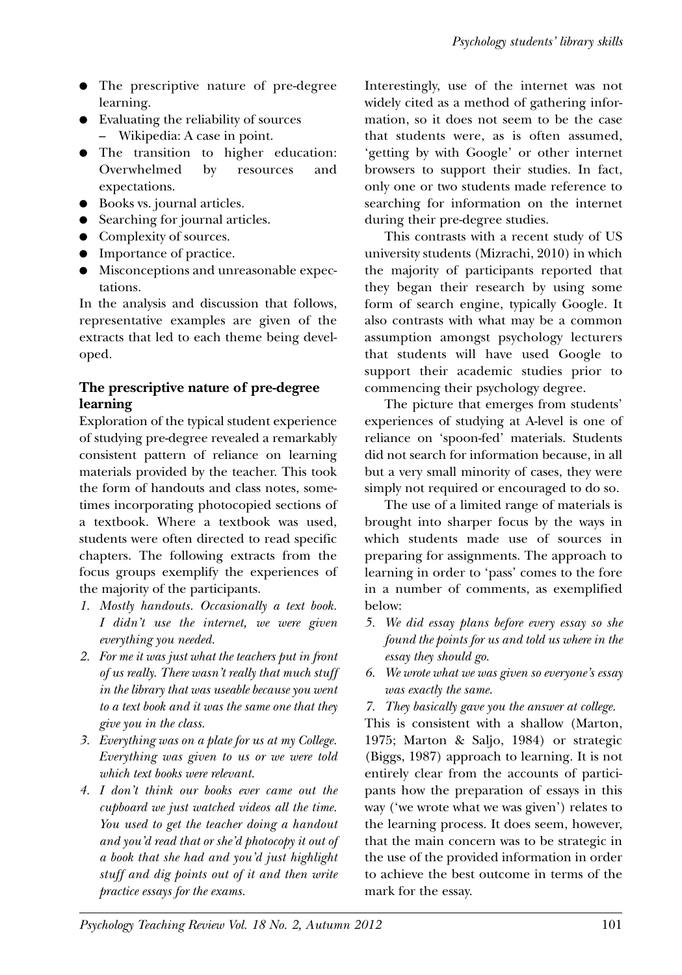- The prescriptive nature of pre-degree learning.
- Evaluating the reliability of sources – Wikipedia: A case in point.
- The transition to higher education: Overwhelmed by resources and expectations.
- Books vs. journal articles.
- Searching for journal articles.
- Complexity of sources.
- Importance of practice.
- Misconceptions and unreasonable expectations.

In the analysis and discussion that follows, representative examples are given of the extracts that led to each theme being developed.

# **The prescriptive nature of pre-degree learning**

Exploration of the typical student experience of studying pre-degree revealed a remarkably consistent pattern of reliance on learning materials provided by the teacher. This took the form of handouts and class notes, sometimes incorporating photocopied sections of a textbook. Where a textbook was used, students were often directed to read specific chapters. The following extracts from the focus groups exemplify the experiences of the majority of the participants.

- *1. Mostly handouts. Occasionally a text book. I didn't use the internet, we were given everything you needed.*
- *2. For me it was just what the teachers put in front of us really. There wasn't really that much stuff in the library that was useable because you went to a text book and it was the same one that they give you in the class.*
- *3. Everything was on a plate for us at my College. Everything was given to us or we were told which text books were relevant.*
- *4. I don't think our books ever came out the cupboard we just watched videos all the time. You used to get the teacher doing a handout and you'd read that or she'd photocopy it out of a book that she had and you'd just highlight stuff and dig points out of it and then write practice essays for the exams.*

Interestingly, use of the internet was not widely cited as a method of gathering information, so it does not seem to be the case that students were, as is often assumed, 'getting by with Google' or other internet browsers to support their studies. In fact, only one or two students made reference to searching for information on the internet during their pre-degree studies.

This contrasts with a recent study of US university students (Mizrachi, 2010) in which the majority of participants reported that they began their research by using some form of search engine, typically Google. It also contrasts with what may be a common assumption amongst psychology lecturers that students will have used Google to support their academic studies prior to commencing their psychology degree.

The picture that emerges from students' experiences of studying at A-level is one of reliance on 'spoon-fed' materials. Students did not search for information because, in all but a very small minority of cases, they were simply not required or encouraged to do so.

The use of a limited range of materials is brought into sharper focus by the ways in which students made use of sources in preparing for assignments. The approach to learning in order to 'pass' comes to the fore in a number of comments, as exemplified below:

- *5. We did essay plans before every essay so she found the points for us and told us where in the essay they should go.*
- *6. We wrote what we was given so everyone's essay was exactly the same.*
- *7. They basically gave you the answer at college.*

This is consistent with a shallow (Marton, 1975; Marton & Saljo, 1984) or strategic (Biggs, 1987) approach to learning. It is not entirely clear from the accounts of participants how the preparation of essays in this way ('we wrote what we was given') relates to the learning process. It does seem, however, that the main concern was to be strategic in the use of the provided information in order to achieve the best outcome in terms of the mark for the essay.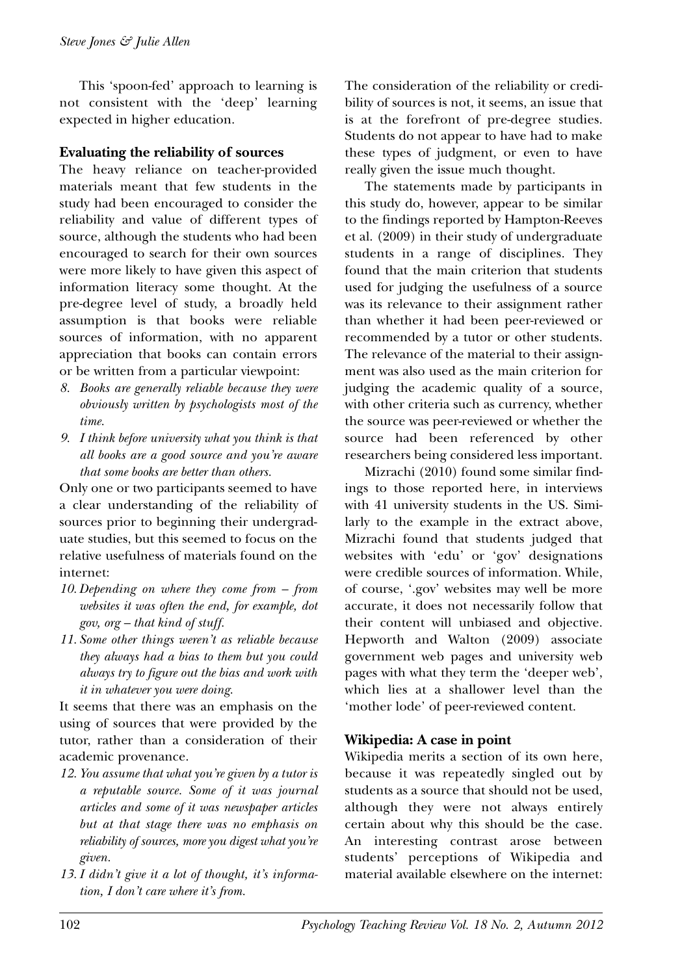This 'spoon-fed' approach to learning is not consistent with the 'deep' learning expected in higher education.

#### **Evaluating the reliability of sources**

The heavy reliance on teacher-provided materials meant that few students in the study had been encouraged to consider the reliability and value of different types of source, although the students who had been encouraged to search for their own sources were more likely to have given this aspect of information literacy some thought. At the pre-degree level of study, a broadly held assumption is that books were reliable sources of information, with no apparent appreciation that books can contain errors or be written from a particular viewpoint:

- *8. Books are generally reliable because they were obviously written by psychologists most of the time.*
- *9. I think before university what you think is that all books are a good source and you're aware that some books are better than others.*

Only one or two participants seemed to have a clear understanding of the reliability of sources prior to beginning their undergraduate studies, but this seemed to focus on the relative usefulness of materials found on the internet:

- *10. Depending on where they come from from websites it was often the end, for example, dot gov, org – that kind of stuff.*
- *11. Some other things weren't as reliable because they always had a bias to them but you could always try to figure out the bias and work with it in whatever you were doing.*

It seems that there was an emphasis on the using of sources that were provided by the tutor, rather than a consideration of their academic provenance.

- *12. You assume that what you're given by a tutor is a reputable source. Some of it was journal articles and some of it was newspaper articles but at that stage there was no emphasis on reliability of sources, more you digest what you're given.*
- *13. I didn't give it a lot of thought, it's information, I don't care where it's from.*

The consideration of the reliability or credibility of sources is not, it seems, an issue that is at the forefront of pre-degree studies. Students do not appear to have had to make these types of judgment, or even to have really given the issue much thought.

The statements made by participants in this study do, however, appear to be similar to the findings reported by Hampton-Reeves et al. (2009) in their study of undergraduate students in a range of disciplines. They found that the main criterion that students used for judging the usefulness of a source was its relevance to their assignment rather than whether it had been peer-reviewed or recommended by a tutor or other students. The relevance of the material to their assignment was also used as the main criterion for judging the academic quality of a source, with other criteria such as currency, whether the source was peer-reviewed or whether the source had been referenced by other researchers being considered less important.

Mizrachi (2010) found some similar findings to those reported here, in interviews with 41 university students in the US. Similarly to the example in the extract above, Mizrachi found that students judged that websites with 'edu' or 'gov' designations were credible sources of information. While, of course, '.gov' websites may well be more accurate, it does not necessarily follow that their content will unbiased and objective. Hepworth and Walton (2009) associate government web pages and university web pages with what they term the 'deeper web', which lies at a shallower level than the 'mother lode' of peer-reviewed content.

## **Wikipedia: A case in point**

Wikipedia merits a section of its own here, because it was repeatedly singled out by students as a source that should not be used, although they were not always entirely certain about why this should be the case. An interesting contrast arose between students' perceptions of Wikipedia and material available elsewhere on the internet: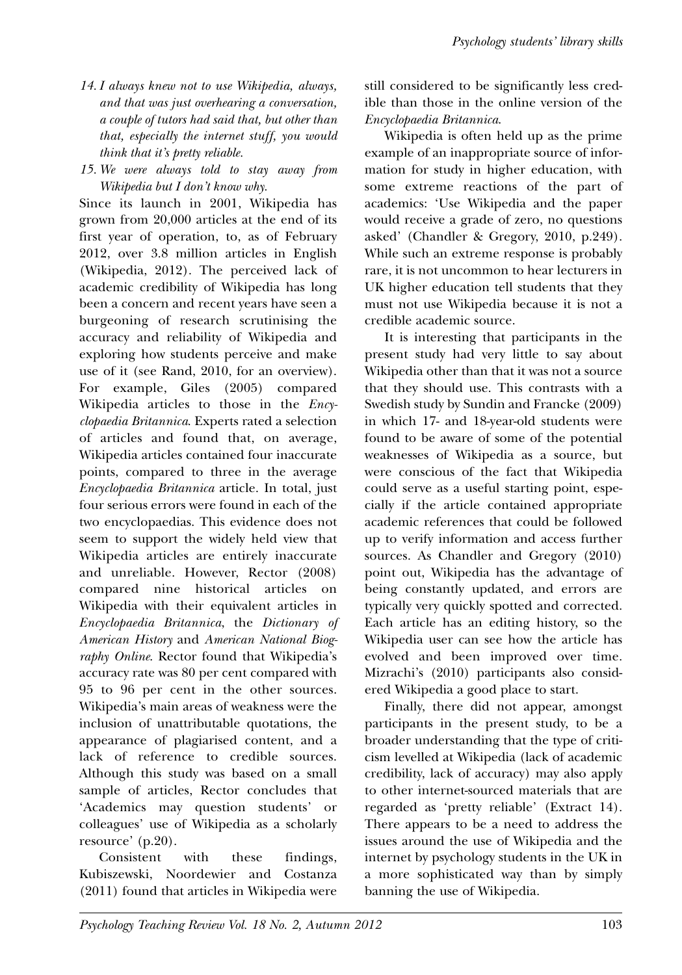- *14. I always knew not to use Wikipedia, always, and that was just overhearing a conversation, a couple of tutors had said that, but other than that, especially the internet stuff, you would think that it's pretty reliable.*
- *15. We were always told to stay away from Wikipedia but I don't know why.*

Since its launch in 2001, Wikipedia has grown from 20,000 articles at the end of its first year of operation, to, as of February 2012, over 3.8 million articles in English (Wikipedia, 2012). The perceived lack of academic credibility of Wikipedia has long been a concern and recent years have seen a burgeoning of research scrutinising the accuracy and reliability of Wikipedia and exploring how students perceive and make use of it (see Rand, 2010, for an overview). For example, Giles (2005) compared Wikipedia articles to those in the *Encyclopaedia Britannica*. Experts rated a selection of articles and found that, on average, Wikipedia articles contained four inaccurate points, compared to three in the average *Encyclopaedia Britannica* article. In total, just four serious errors were found in each of the two encyclopaedias. This evidence does not seem to support the widely held view that Wikipedia articles are entirely inaccurate and unreliable. However, Rector (2008) compared nine historical articles on Wikipedia with their equivalent articles in *Encyclopaedia Britannica*, the *Dictionary of American History* and *American National Biography Online*. Rector found that Wikipedia's accuracy rate was 80 per cent compared with 95 to 96 per cent in the other sources. Wikipedia's main areas of weakness were the inclusion of unattributable quotations, the appearance of plagiarised content, and a lack of reference to credible sources. Although this study was based on a small sample of articles, Rector concludes that 'Academics may question students' or colleagues' use of Wikipedia as a scholarly resource' (p.20).

Consistent with these findings, Kubiszewski, Noordewier and Costanza (2011) found that articles in Wikipedia were still considered to be significantly less credible than those in the online version of the *Encyclopaedia Britannica*.

Wikipedia is often held up as the prime example of an inappropriate source of information for study in higher education, with some extreme reactions of the part of academics: 'Use Wikipedia and the paper would receive a grade of zero, no questions asked' (Chandler & Gregory, 2010, p.249). While such an extreme response is probably rare, it is not uncommon to hear lecturers in UK higher education tell students that they must not use Wikipedia because it is not a credible academic source.

It is interesting that participants in the present study had very little to say about Wikipedia other than that it was not a source that they should use. This contrasts with a Swedish study by Sundin and Francke (2009) in which 17- and 18-year-old students were found to be aware of some of the potential weaknesses of Wikipedia as a source, but were conscious of the fact that Wikipedia could serve as a useful starting point, especially if the article contained appropriate academic references that could be followed up to verify information and access further sources. As Chandler and Gregory (2010) point out, Wikipedia has the advantage of being constantly updated, and errors are typically very quickly spotted and corrected. Each article has an editing history, so the Wikipedia user can see how the article has evolved and been improved over time. Mizrachi's (2010) participants also considered Wikipedia a good place to start.

Finally, there did not appear, amongst participants in the present study, to be a broader understanding that the type of criticism levelled at Wikipedia (lack of academic credibility, lack of accuracy) may also apply to other internet-sourced materials that are regarded as 'pretty reliable' (Extract 14). There appears to be a need to address the issues around the use of Wikipedia and the internet by psychology students in the UK in a more sophisticated way than by simply banning the use of Wikipedia.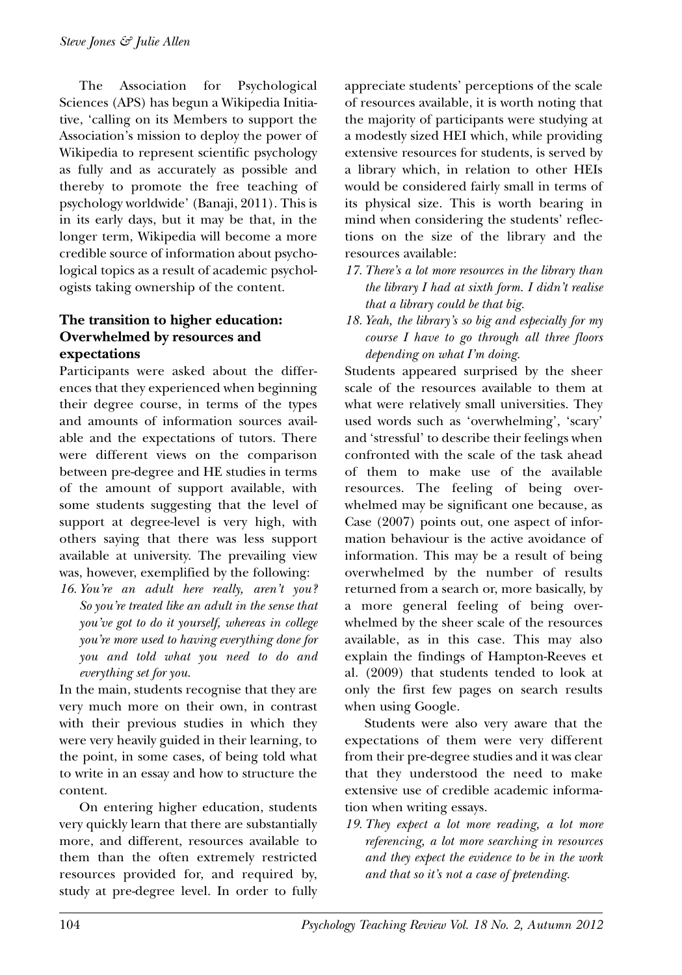The Association for Psychological Sciences (APS) has begun a Wikipedia Initiative, 'calling on its Members to support the Association's mission to deploy the power of Wikipedia to represent scientific psychology as fully and as accurately as possible and thereby to promote the free teaching of psychology worldwide' (Banaji, 2011). This is in its early days, but it may be that, in the longer term, Wikipedia will become a more credible source of information about psychological topics as a result of academic psychologists taking ownership of the content.

# **The transition to higher education: Overwhelmed by resources and expectations**

Participants were asked about the differences that they experienced when beginning their degree course, in terms of the types and amounts of information sources available and the expectations of tutors. There were different views on the comparison between pre-degree and HE studies in terms of the amount of support available, with some students suggesting that the level of support at degree-level is very high, with others saying that there was less support available at university. The prevailing view was, however, exemplified by the following:

*16. You're an adult here really, aren't you? So you're treated like an adult in the sense that you've got to do it yourself, whereas in college you're more used to having everything done for you and told what you need to do and everything set for you.*

In the main, students recognise that they are very much more on their own, in contrast with their previous studies in which they were very heavily guided in their learning, to the point, in some cases, of being told what to write in an essay and how to structure the content.

On entering higher education, students very quickly learn that there are substantially more, and different, resources available to them than the often extremely restricted resources provided for, and required by, study at pre-degree level. In order to fully appreciate students' perceptions of the scale of resources available, it is worth noting that the majority of participants were studying at a modestly sized HEI which, while providing extensive resources for students, is served by a library which, in relation to other HEIs would be considered fairly small in terms of its physical size. This is worth bearing in mind when considering the students' reflections on the size of the library and the resources available:

- *17. There's a lot more resources in the library than the library I had at sixth form. I didn't realise that a library could be that big.*
- *18. Yeah, the library's so big and especially for my course I have to go through all three floors depending on what I'm doing.*

Students appeared surprised by the sheer scale of the resources available to them at what were relatively small universities. They used words such as 'overwhelming', 'scary' and 'stressful' to describe their feelings when confronted with the scale of the task ahead of them to make use of the available resources. The feeling of being overwhelmed may be significant one because, as Case (2007) points out, one aspect of information behaviour is the active avoidance of information. This may be a result of being overwhelmed by the number of results returned from a search or, more basically, by a more general feeling of being overwhelmed by the sheer scale of the resources available, as in this case. This may also explain the findings of Hampton-Reeves et al. (2009) that students tended to look at only the first few pages on search results when using Google.

Students were also very aware that the expectations of them were very different from their pre-degree studies and it was clear that they understood the need to make extensive use of credible academic information when writing essays.

*19. They expect a lot more reading, a lot more referencing, a lot more searching in resources and they expect the evidence to be in the work and that so it's not a case of pretending.*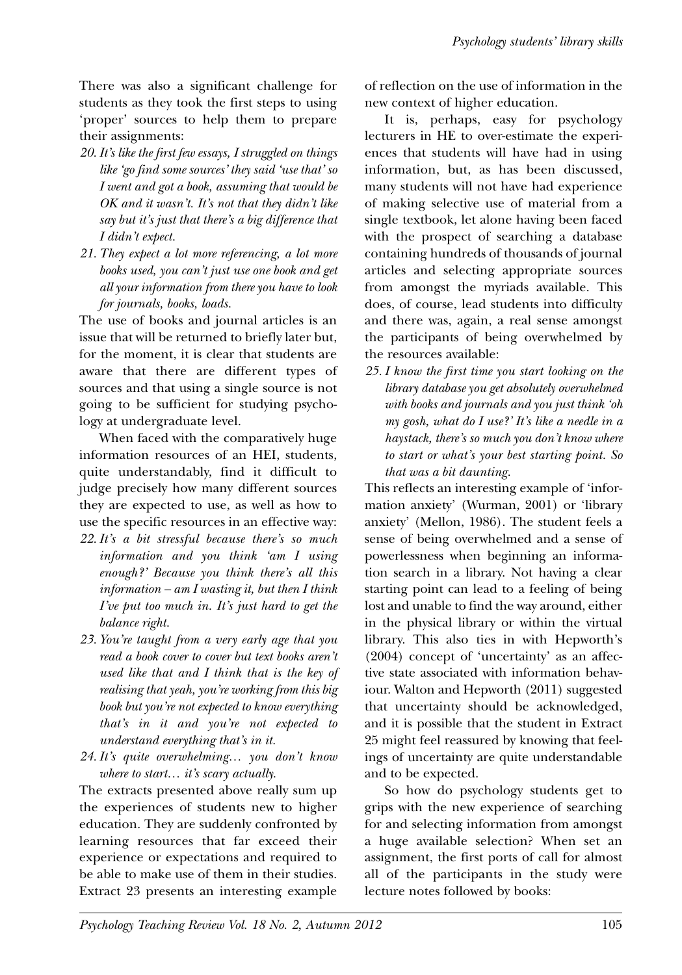There was also a significant challenge for students as they took the first steps to using 'proper' sources to help them to prepare their assignments:

- *20. It's like the first few essays, I struggled on things like 'go find some sources' they said 'use that' so I went and got a book, assuming that would be OK and it wasn't. It's not that they didn't like say but it's just that there's a big difference that I didn't expect.*
- *21. They expect a lot more referencing, a lot more books used, you can't just use one book and get all your information from there you have to look for journals, books, loads.*

The use of books and journal articles is an issue that will be returned to briefly later but, for the moment, it is clear that students are aware that there are different types of sources and that using a single source is not going to be sufficient for studying psychology at undergraduate level.

When faced with the comparatively huge information resources of an HEI, students, quite understandably, find it difficult to judge precisely how many different sources they are expected to use, as well as how to use the specific resources in an effective way:

- *22. It's a bit stressful because there's so much information and you think 'am I using enough?' Because you think there's all this information – am I wasting it, but then I think I've put too much in. It's just hard to get the balance right.*
- *23. You're taught from a very early age that you read a book cover to cover but text books aren't used like that and I think that is the key of realising that yeah, you're working from this big book but you're not expected to know everything that's in it and you're not expected to understand everything that's in it.*
- *24. It's quite overwhelming… you don't know where to start… it's scary actually.*

The extracts presented above really sum up the experiences of students new to higher education. They are suddenly confronted by learning resources that far exceed their experience or expectations and required to be able to make use of them in their studies. Extract 23 presents an interesting example of reflection on the use of information in the new context of higher education.

It is, perhaps, easy for psychology lecturers in HE to over-estimate the experiences that students will have had in using information, but, as has been discussed, many students will not have had experience of making selective use of material from a single textbook, let alone having been faced with the prospect of searching a database containing hundreds of thousands of journal articles and selecting appropriate sources from amongst the myriads available. This does, of course, lead students into difficulty and there was, again, a real sense amongst the participants of being overwhelmed by the resources available:

*25. I know the first time you start looking on the library database you get absolutely overwhelmed with books and journals and you just think 'oh my gosh, what do I use?' It's like a needle in a haystack, there's so much you don't know where to start or what's your best starting point. So that was a bit daunting.*

This reflects an interesting example of 'information anxiety' (Wurman, 2001) or 'library anxiety' (Mellon, 1986). The student feels a sense of being overwhelmed and a sense of powerlessness when beginning an information search in a library. Not having a clear starting point can lead to a feeling of being lost and unable to find the way around, either in the physical library or within the virtual library. This also ties in with Hepworth's (2004) concept of 'uncertainty' as an affective state associated with information behaviour. Walton and Hepworth (2011) suggested that uncertainty should be acknowledged, and it is possible that the student in Extract 25 might feel reassured by knowing that feelings of uncertainty are quite understandable and to be expected.

So how do psychology students get to grips with the new experience of searching for and selecting information from amongst a huge available selection? When set an assignment, the first ports of call for almost all of the participants in the study were lecture notes followed by books: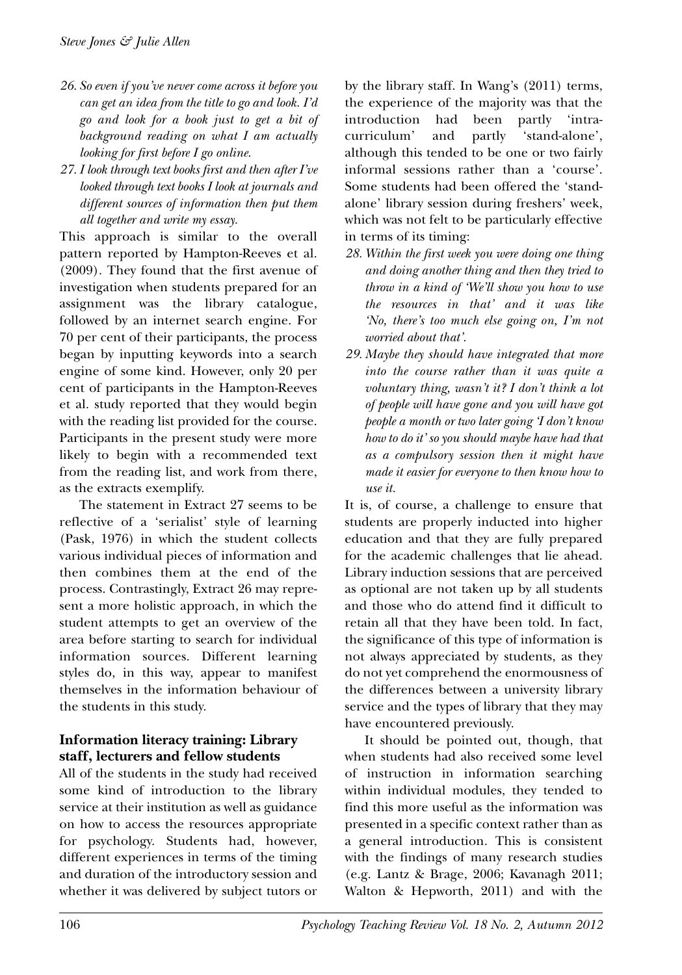- *26. So even if you've never come across it before you can get an idea from the title to go and look. I'd go and look for a book just to get a bit of background reading on what I am actually looking for first before I go online.*
- *27. I look through text books first and then after I've looked through text books I look at journals and different sources of information then put them all together and write my essay.*

This approach is similar to the overall pattern reported by Hampton-Reeves et al. (2009). They found that the first avenue of investigation when students prepared for an assignment was the library catalogue, followed by an internet search engine. For 70 per cent of their participants, the process began by inputting keywords into a search engine of some kind. However, only 20 per cent of participants in the Hampton-Reeves et al. study reported that they would begin with the reading list provided for the course. Participants in the present study were more likely to begin with a recommended text from the reading list, and work from there, as the extracts exemplify.

The statement in Extract 27 seems to be reflective of a 'serialist' style of learning (Pask, 1976) in which the student collects various individual pieces of information and then combines them at the end of the process. Contrastingly, Extract 26 may represent a more holistic approach, in which the student attempts to get an overview of the area before starting to search for individual information sources. Different learning styles do, in this way, appear to manifest themselves in the information behaviour of the students in this study.

## **Information literacy training: Library staff, lecturers and fellow students**

All of the students in the study had received some kind of introduction to the library service at their institution as well as guidance on how to access the resources appropriate for psychology. Students had, however, different experiences in terms of the timing and duration of the introductory session and whether it was delivered by subject tutors or by the library staff. In Wang's (2011) terms, the experience of the majority was that the introduction had been partly 'intracurriculum' and partly 'stand-alone', although this tended to be one or two fairly informal sessions rather than a 'course'. Some students had been offered the 'standalone' library session during freshers' week, which was not felt to be particularly effective in terms of its timing:

- *28. Within the first week you were doing one thing and doing another thing and then they tried to throw in a kind of 'We'll show you how to use the resources in that' and it was like 'No, there's too much else going on, I'm not worried about that'.*
- *29. Maybe they should have integrated that more into the course rather than it was quite a voluntary thing, wasn't it? I don't think a lot of people will have gone and you will have got people a month or two later going 'I don't know how to do it' so you should maybe have had that as a compulsory session then it might have made it easier for everyone to then know how to use it.*

It is, of course, a challenge to ensure that students are properly inducted into higher education and that they are fully prepared for the academic challenges that lie ahead. Library induction sessions that are perceived as optional are not taken up by all students and those who do attend find it difficult to retain all that they have been told. In fact, the significance of this type of information is not always appreciated by students, as they do not yet comprehend the enormousness of the differences between a university library service and the types of library that they may have encountered previously.

It should be pointed out, though, that when students had also received some level of instruction in information searching within individual modules, they tended to find this more useful as the information was presented in a specific context rather than as a general introduction. This is consistent with the findings of many research studies (e.g. Lantz & Brage, 2006; Kavanagh 2011; Walton & Hepworth, 2011) and with the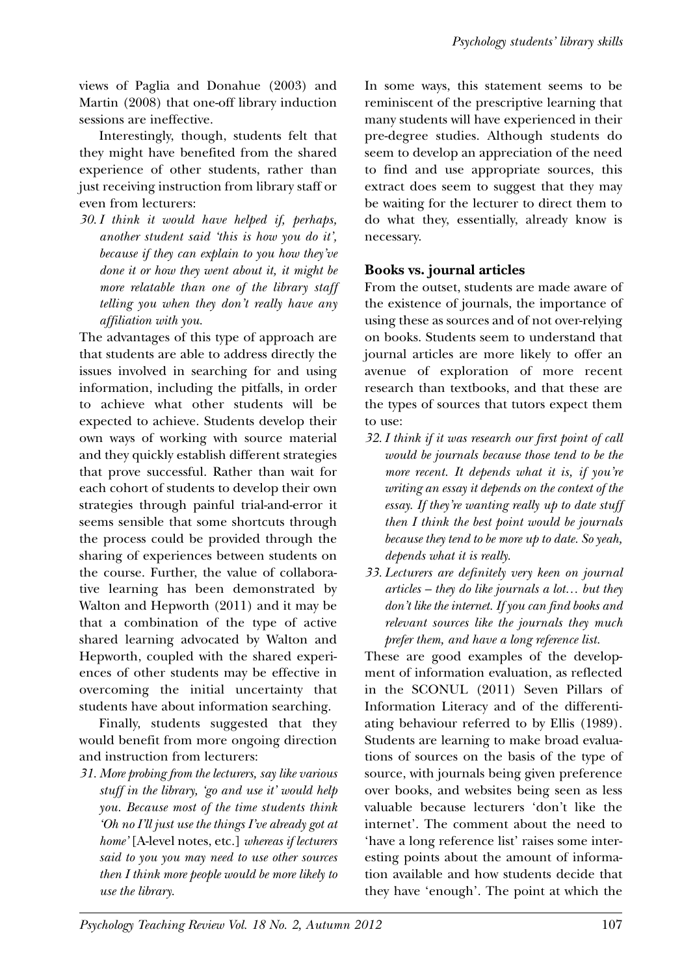views of Paglia and Donahue (2003) and Martin (2008) that one-off library induction sessions are ineffective.

Interestingly, though, students felt that they might have benefited from the shared experience of other students, rather than just receiving instruction from library staff or even from lecturers:

*30. I think it would have helped if, perhaps, another student said 'this is how you do it', because if they can explain to you how they've done it or how they went about it, it might be more relatable than one of the library staff telling you when they don't really have any affiliation with you.*

The advantages of this type of approach are that students are able to address directly the issues involved in searching for and using information, including the pitfalls, in order to achieve what other students will be expected to achieve. Students develop their own ways of working with source material and they quickly establish different strategies that prove successful. Rather than wait for each cohort of students to develop their own strategies through painful trial-and-error it seems sensible that some shortcuts through the process could be provided through the sharing of experiences between students on the course. Further, the value of collaborative learning has been demonstrated by Walton and Hepworth (2011) and it may be that a combination of the type of active shared learning advocated by Walton and Hepworth, coupled with the shared experiences of other students may be effective in overcoming the initial uncertainty that students have about information searching.

Finally, students suggested that they would benefit from more ongoing direction and instruction from lecturers:

*31. More probing from the lecturers, say like various stuff in the library, 'go and use it' would help you. Because most of the time students think 'Oh no I'll just use the things I've already got at home'* [A-level notes, etc.] *whereas if lecturers said to you you may need to use other sources then I think more people would be more likely to use the library.*

In some ways, this statement seems to be reminiscent of the prescriptive learning that many students will have experienced in their pre-degree studies. Although students do seem to develop an appreciation of the need to find and use appropriate sources, this extract does seem to suggest that they may be waiting for the lecturer to direct them to do what they, essentially, already know is necessary.

# **Books vs. journal articles**

From the outset, students are made aware of the existence of journals, the importance of using these as sources and of not over-relying on books. Students seem to understand that journal articles are more likely to offer an avenue of exploration of more recent research than textbooks, and that these are the types of sources that tutors expect them to use:

- *32. I think if it was research our first point of call would be journals because those tend to be the more recent. It depends what it is, if you're writing an essay it depends on the context of the essay. If they're wanting really up to date stuff then I think the best point would be journals because they tend to be more up to date. So yeah, depends what it is really.*
- *33. Lecturers are definitely very keen on journal articles – they do like journals a lot… but they don't like the internet. If you can find books and relevant sources like the journals they much prefer them, and have a long reference list.*

These are good examples of the development of information evaluation, as reflected in the SCONUL (2011) Seven Pillars of Information Literacy and of the differentiating behaviour referred to by Ellis (1989). Students are learning to make broad evaluations of sources on the basis of the type of source, with journals being given preference over books, and websites being seen as less valuable because lecturers 'don't like the internet'. The comment about the need to 'have a long reference list' raises some interesting points about the amount of information available and how students decide that they have 'enough'. The point at which the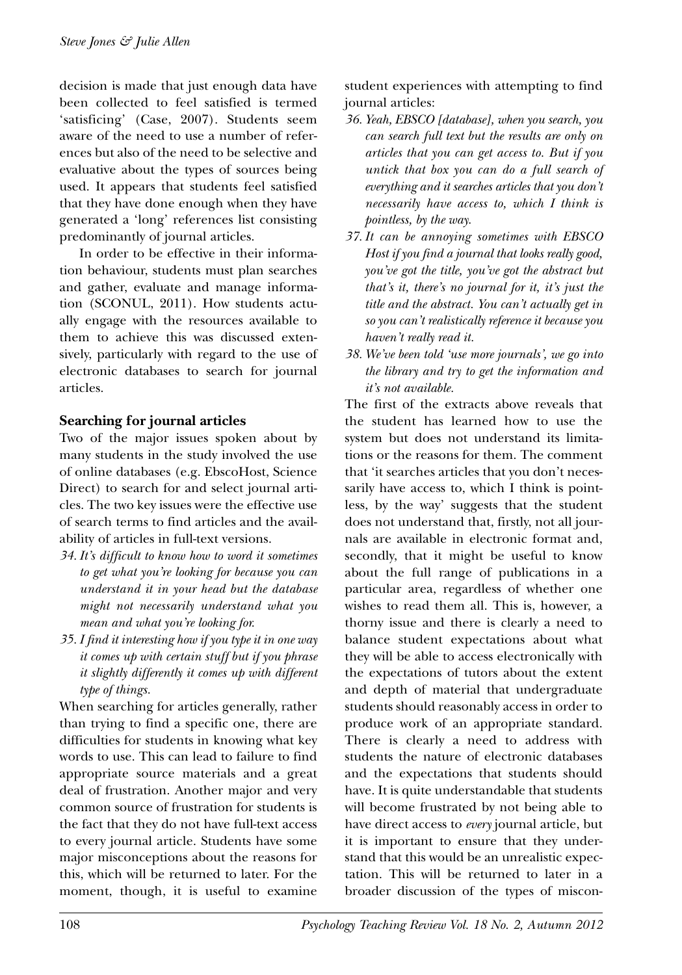decision is made that just enough data have been collected to feel satisfied is termed 'satisficing' (Case, 2007). Students seem aware of the need to use a number of references but also of the need to be selective and evaluative about the types of sources being used. It appears that students feel satisfied that they have done enough when they have generated a 'long' references list consisting predominantly of journal articles.

In order to be effective in their information behaviour, students must plan searches and gather, evaluate and manage information (SCONUL, 2011). How students actually engage with the resources available to them to achieve this was discussed extensively, particularly with regard to the use of electronic databases to search for journal articles.

## **Searching for journal articles**

Two of the major issues spoken about by many students in the study involved the use of online databases (e.g. EbscoHost, Science Direct) to search for and select journal articles. The two key issues were the effective use of search terms to find articles and the availability of articles in full-text versions.

- *34. It's difficult to know how to word it sometimes to get what you're looking for because you can understand it in your head but the database might not necessarily understand what you mean and what you're looking for.*
- *35. I find it interesting how if you type it in one way it comes up with certain stuff but if you phrase it slightly differently it comes up with different type of things.*

When searching for articles generally, rather than trying to find a specific one, there are difficulties for students in knowing what key words to use. This can lead to failure to find appropriate source materials and a great deal of frustration. Another major and very common source of frustration for students is the fact that they do not have full-text access to every journal article. Students have some major misconceptions about the reasons for this, which will be returned to later. For the moment, though, it is useful to examine student experiences with attempting to find journal articles:

- *36. Yeah, EBSCO [database], when you search, you can search full text but the results are only on articles that you can get access to. But if you untick that box you can do a full search of everything and it searches articles that you don't necessarily have access to, which I think is pointless, by the way.*
- *37. It can be annoying sometimes with EBSCO Host if you find a journal that looks really good, you've got the title, you've got the abstract but that's it, there's no journal for it, it's just the title and the abstract. You can't actually get in so you can't realistically reference it because you haven't really read it.*
- *38. We've been told 'use more journals', we go into the library and try to get the information and it's not available.*

The first of the extracts above reveals that the student has learned how to use the system but does not understand its limitations or the reasons for them. The comment that 'it searches articles that you don't necessarily have access to, which I think is pointless, by the way' suggests that the student does not understand that, firstly, not all journals are available in electronic format and, secondly, that it might be useful to know about the full range of publications in a particular area, regardless of whether one wishes to read them all. This is, however, a thorny issue and there is clearly a need to balance student expectations about what they will be able to access electronically with the expectations of tutors about the extent and depth of material that undergraduate students should reasonably access in order to produce work of an appropriate standard. There is clearly a need to address with students the nature of electronic databases and the expectations that students should have. It is quite understandable that students will become frustrated by not being able to have direct access to *every* journal article, but it is important to ensure that they understand that this would be an unrealistic expectation. This will be returned to later in a broader discussion of the types of miscon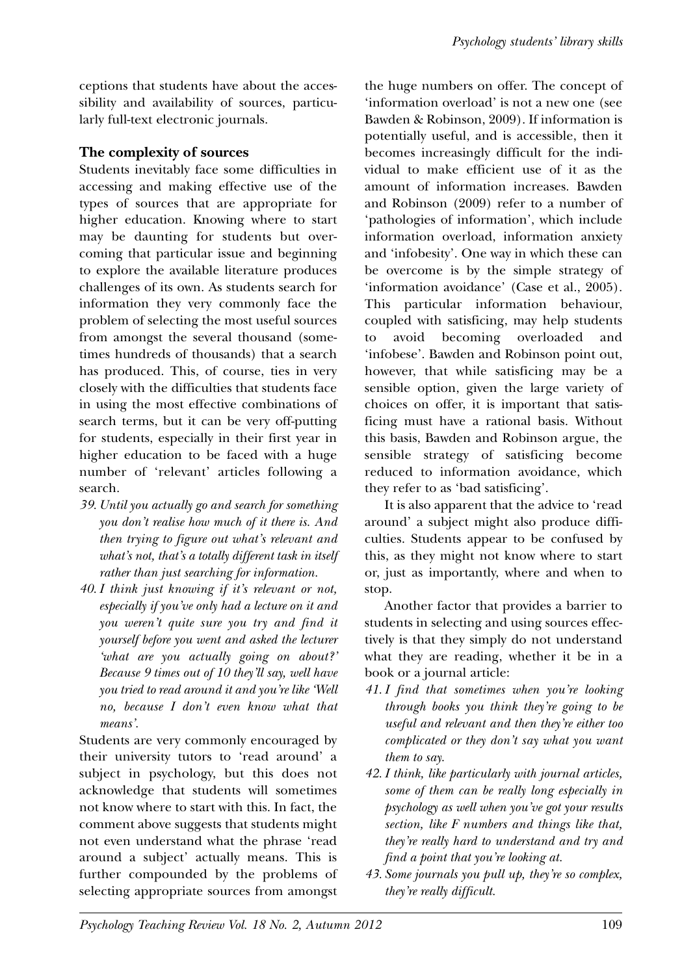ceptions that students have about the accessibility and availability of sources, particularly full-text electronic journals.

## **The complexity of sources**

Students inevitably face some difficulties in accessing and making effective use of the types of sources that are appropriate for higher education. Knowing where to start may be daunting for students but overcoming that particular issue and beginning to explore the available literature produces challenges of its own. As students search for information they very commonly face the problem of selecting the most useful sources from amongst the several thousand (sometimes hundreds of thousands) that a search has produced. This, of course, ties in very closely with the difficulties that students face in using the most effective combinations of search terms, but it can be very off-putting for students, especially in their first year in higher education to be faced with a huge number of 'relevant' articles following a search.

- *39. Until you actually go and search for something you don't realise how much of it there is. And then trying to figure out what's relevant and what's not, that's a totally different task in itself rather than just searching for information.*
- *40. I think just knowing if it's relevant or not, especially if you've only had a lecture on it and you weren't quite sure you try and find it yourself before you went and asked the lecturer 'what are you actually going on about?' Because 9 times out of 10 they'll say, well have you tried to read around it and you're like 'Well no, because I don't even know what that means'.*

Students are very commonly encouraged by their university tutors to 'read around' a subject in psychology, but this does not acknowledge that students will sometimes not know where to start with this. In fact, the comment above suggests that students might not even understand what the phrase 'read around a subject' actually means. This is further compounded by the problems of selecting appropriate sources from amongst

the huge numbers on offer. The concept of 'information overload' is not a new one (see Bawden & Robinson, 2009). If information is potentially useful, and is accessible, then it becomes increasingly difficult for the individual to make efficient use of it as the amount of information increases. Bawden and Robinson (2009) refer to a number of 'pathologies of information', which include information overload, information anxiety and 'infobesity'. One way in which these can be overcome is by the simple strategy of 'information avoidance' (Case et al., 2005). This particular information behaviour, coupled with satisficing, may help students to avoid becoming overloaded and 'infobese'. Bawden and Robinson point out, however, that while satisficing may be a sensible option, given the large variety of choices on offer, it is important that satisficing must have a rational basis. Without this basis, Bawden and Robinson argue, the sensible strategy of satisficing become reduced to information avoidance, which they refer to as 'bad satisficing'.

It is also apparent that the advice to 'read around' a subject might also produce difficulties. Students appear to be confused by this, as they might not know where to start or, just as importantly, where and when to stop.

Another factor that provides a barrier to students in selecting and using sources effectively is that they simply do not understand what they are reading, whether it be in a book or a journal article:

- *41. I find that sometimes when you're looking through books you think they're going to be useful and relevant and then they're either too complicated or they don't say what you want them to say.*
- *42. I think, like particularly with journal articles, some of them can be really long especially in psychology as well when you've got your results section, like F numbers and things like that, they're really hard to understand and try and find a point that you're looking at.*
- *43. Some journals you pull up, they're so complex, they're really difficult.*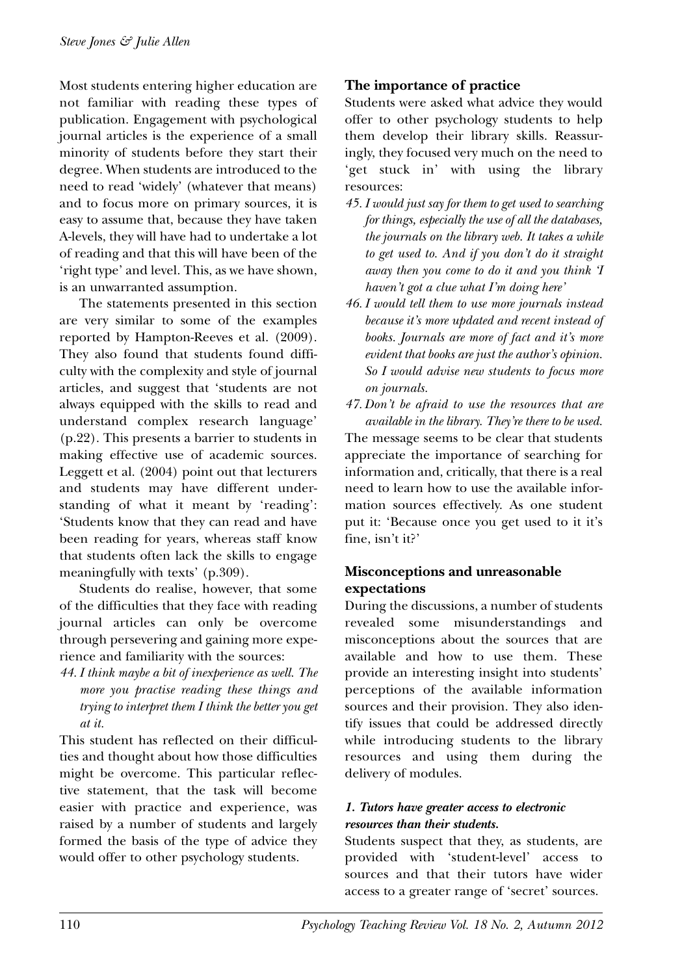Most students entering higher education are not familiar with reading these types of publication. Engagement with psychological journal articles is the experience of a small minority of students before they start their degree. When students are introduced to the need to read 'widely' (whatever that means) and to focus more on primary sources, it is easy to assume that, because they have taken A-levels, they will have had to undertake a lot of reading and that this will have been of the 'right type' and level. This, as we have shown, is an unwarranted assumption.

The statements presented in this section are very similar to some of the examples reported by Hampton-Reeves et al. (2009). They also found that students found difficulty with the complexity and style of journal articles, and suggest that 'students are not always equipped with the skills to read and understand complex research language' (p.22). This presents a barrier to students in making effective use of academic sources. Leggett et al. (2004) point out that lecturers and students may have different understanding of what it meant by 'reading': 'Students know that they can read and have been reading for years, whereas staff know that students often lack the skills to engage meaningfully with texts' (p.309).

Students do realise, however, that some of the difficulties that they face with reading journal articles can only be overcome through persevering and gaining more experience and familiarity with the sources:

*44. I think maybe a bit of inexperience as well. The more you practise reading these things and trying to interpret them I think the better you get at it.* 

This student has reflected on their difficulties and thought about how those difficulties might be overcome. This particular reflective statement, that the task will become easier with practice and experience, was raised by a number of students and largely formed the basis of the type of advice they would offer to other psychology students.

# **The importance of practice**

Students were asked what advice they would offer to other psychology students to help them develop their library skills. Reassuringly, they focused very much on the need to 'get stuck in' with using the library resources:

- *45. I would just say for them to get used to searching for things, especially the use of all the databases, the journals on the library web. It takes a while to get used to. And if you don't do it straight away then you come to do it and you think 'I haven't got a clue what I'm doing here'*
- *46. I would tell them to use more journals instead because it's more updated and recent instead of books. Journals are more of fact and it's more evident that books are just the author's opinion. So I would advise new students to focus more on journals.*
- *47. Don't be afraid to use the resources that are available in the library. They're there to be used.*

The message seems to be clear that students appreciate the importance of searching for information and, critically, that there is a real need to learn how to use the available information sources effectively. As one student put it: 'Because once you get used to it it's fine, isn't it?'

## **Misconceptions and unreasonable expectations**

During the discussions, a number of students revealed some misunderstandings and misconceptions about the sources that are available and how to use them. These provide an interesting insight into students' perceptions of the available information sources and their provision. They also identify issues that could be addressed directly while introducing students to the library resources and using them during the delivery of modules.

#### *1. Tutors have greater access to electronic resources than their students.*

Students suspect that they, as students, are provided with 'student-level' access to sources and that their tutors have wider access to a greater range of 'secret' sources.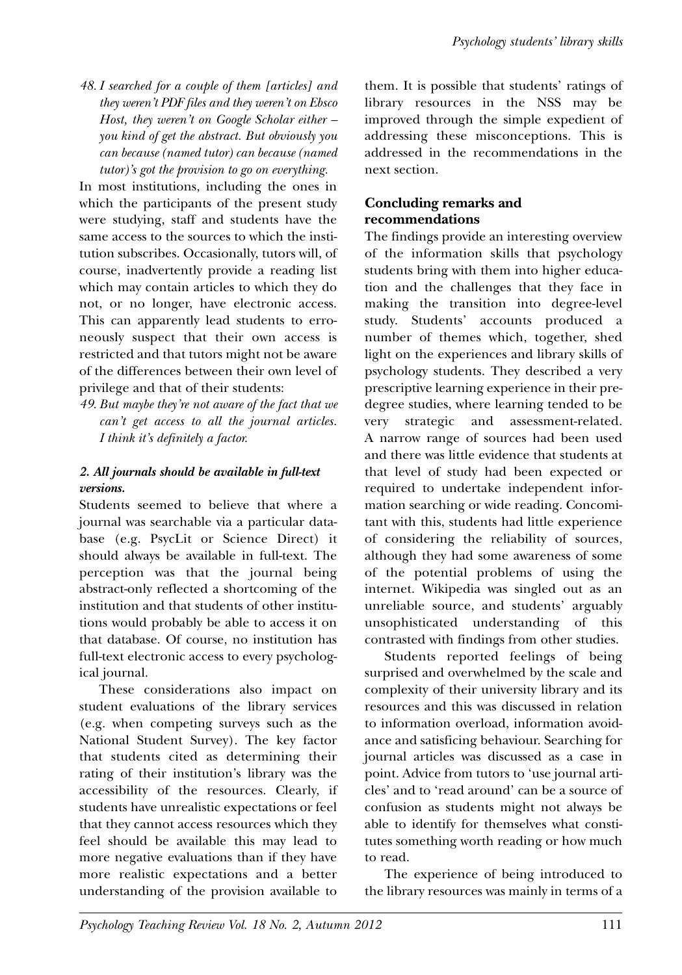*48. I searched for a couple of them [articles] and they weren't PDF files and they weren't on Ebsco Host, they weren't on Google Scholar either – you kind of get the abstract. But obviously you can because (named tutor) can because (named tutor)'s got the provision to go on everything.*

In most institutions, including the ones in which the participants of the present study were studying, staff and students have the same access to the sources to which the institution subscribes. Occasionally, tutors will, of course, inadvertently provide a reading list which may contain articles to which they do not, or no longer, have electronic access. This can apparently lead students to erroneously suspect that their own access is restricted and that tutors might not be aware of the differences between their own level of privilege and that of their students:

*49. But maybe they're not aware of the fact that we can't get access to all the journal articles. I think it's definitely a factor.*

#### *2. All journals should be available in full-text versions.*

Students seemed to believe that where a journal was searchable via a particular database (e.g. PsycLit or Science Direct) it should always be available in full-text. The perception was that the journal being abstract-only reflected a shortcoming of the institution and that students of other institutions would probably be able to access it on that database. Of course, no institution has full-text electronic access to every psychological journal.

These considerations also impact on student evaluations of the library services (e.g. when competing surveys such as the National Student Survey). The key factor that students cited as determining their rating of their institution's library was the accessibility of the resources. Clearly, if students have unrealistic expectations or feel that they cannot access resources which they feel should be available this may lead to more negative evaluations than if they have more realistic expectations and a better understanding of the provision available to

them. It is possible that students' ratings of library resources in the NSS may be improved through the simple expedient of addressing these misconceptions. This is addressed in the recommendations in the next section.

# **Concluding remarks and recommendations**

The findings provide an interesting overview of the information skills that psychology students bring with them into higher education and the challenges that they face in making the transition into degree-level study. Students' accounts produced a number of themes which, together, shed light on the experiences and library skills of psychology students. They described a very prescriptive learning experience in their predegree studies, where learning tended to be very strategic and assessment-related. A narrow range of sources had been used and there was little evidence that students at that level of study had been expected or required to undertake independent information searching or wide reading. Concomitant with this, students had little experience of considering the reliability of sources, although they had some awareness of some of the potential problems of using the internet. Wikipedia was singled out as an unreliable source, and students' arguably unsophisticated understanding of this contrasted with findings from other studies.

Students reported feelings of being surprised and overwhelmed by the scale and complexity of their university library and its resources and this was discussed in relation to information overload, information avoidance and satisficing behaviour. Searching for journal articles was discussed as a case in point. Advice from tutors to 'use journal articles' and to 'read around' can be a source of confusion as students might not always be able to identify for themselves what constitutes something worth reading or how much to read.

The experience of being introduced to the library resources was mainly in terms of a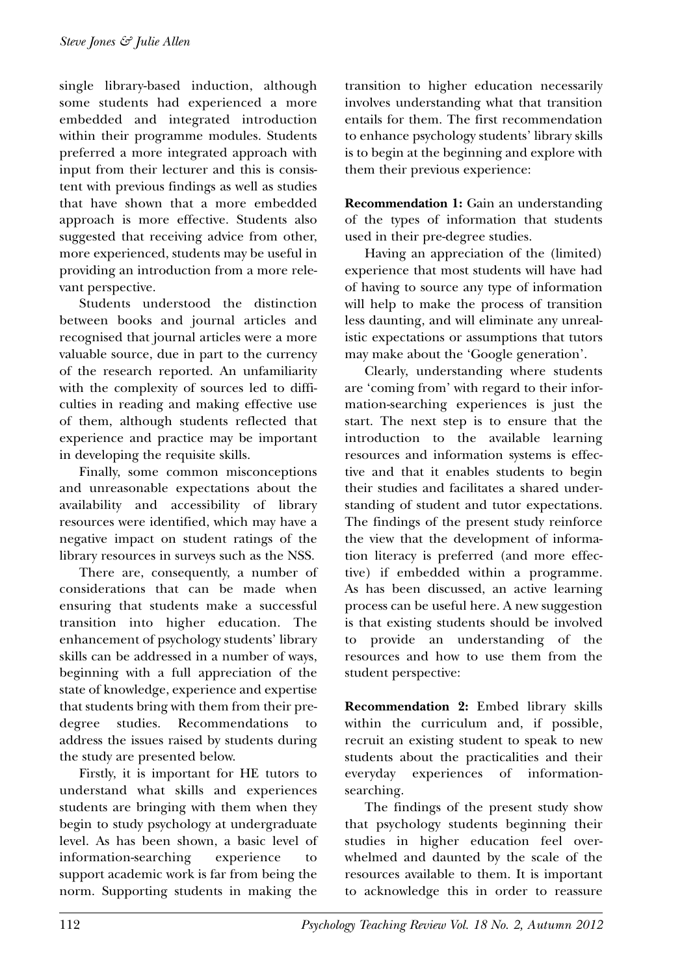single library-based induction, although some students had experienced a more embedded and integrated introduction within their programme modules. Students preferred a more integrated approach with input from their lecturer and this is consistent with previous findings as well as studies that have shown that a more embedded approach is more effective. Students also suggested that receiving advice from other, more experienced, students may be useful in providing an introduction from a more relevant perspective.

Students understood the distinction between books and journal articles and recognised that journal articles were a more valuable source, due in part to the currency of the research reported. An unfamiliarity with the complexity of sources led to difficulties in reading and making effective use of them, although students reflected that experience and practice may be important in developing the requisite skills.

Finally, some common misconceptions and unreasonable expectations about the availability and accessibility of library resources were identified, which may have a negative impact on student ratings of the library resources in surveys such as the NSS.

There are, consequently, a number of considerations that can be made when ensuring that students make a successful transition into higher education. The enhancement of psychology students' library skills can be addressed in a number of ways, beginning with a full appreciation of the state of knowledge, experience and expertise that students bring with them from their predegree studies. Recommendations to address the issues raised by students during the study are presented below.

Firstly, it is important for HE tutors to understand what skills and experiences students are bringing with them when they begin to study psychology at undergraduate level. As has been shown, a basic level of information-searching experience to support academic work is far from being the norm. Supporting students in making the

transition to higher education necessarily involves understanding what that transition entails for them. The first recommendation to enhance psychology students' library skills is to begin at the beginning and explore with them their previous experience:

**Recommendation 1:** Gain an understanding of the types of information that students used in their pre-degree studies.

Having an appreciation of the (limited) experience that most students will have had of having to source any type of information will help to make the process of transition less daunting, and will eliminate any unrealistic expectations or assumptions that tutors may make about the 'Google generation'.

Clearly, understanding where students are 'coming from' with regard to their information-searching experiences is just the start. The next step is to ensure that the introduction to the available learning resources and information systems is effective and that it enables students to begin their studies and facilitates a shared understanding of student and tutor expectations. The findings of the present study reinforce the view that the development of information literacy is preferred (and more effective) if embedded within a programme. As has been discussed, an active learning process can be useful here. A new suggestion is that existing students should be involved to provide an understanding of the resources and how to use them from the student perspective:

**Recommendation 2:** Embed library skills within the curriculum and, if possible, recruit an existing student to speak to new students about the practicalities and their everyday experiences of informationsearching.

The findings of the present study show that psychology students beginning their studies in higher education feel overwhelmed and daunted by the scale of the resources available to them. It is important to acknowledge this in order to reassure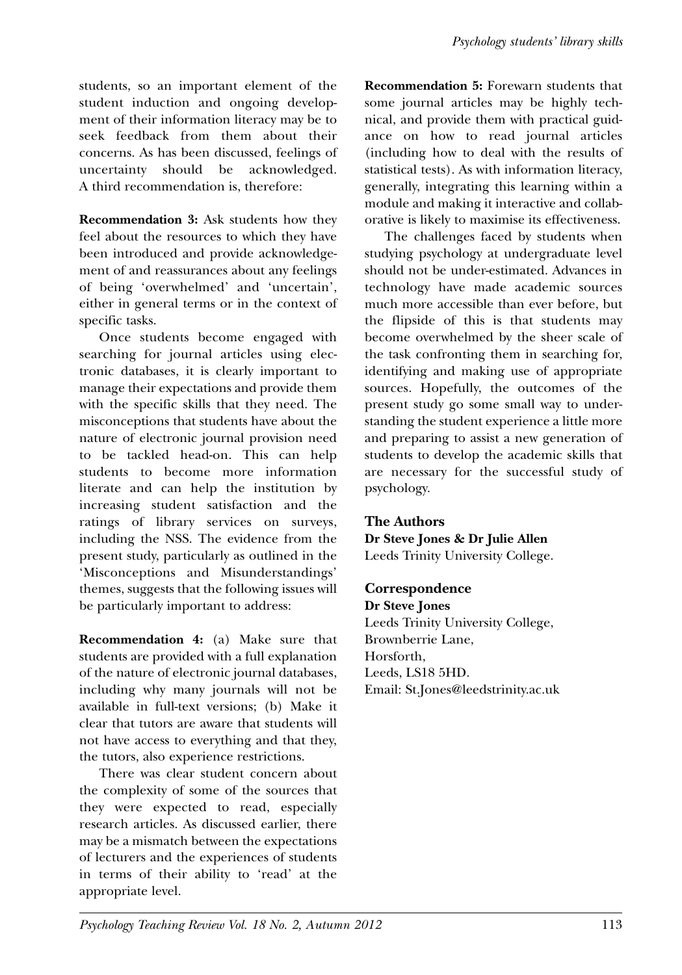students, so an important element of the student induction and ongoing development of their information literacy may be to seek feedback from them about their concerns. As has been discussed, feelings of uncertainty should be acknowledged. A third recommendation is, therefore:

**Recommendation 3:** Ask students how they feel about the resources to which they have been introduced and provide acknowledgement of and reassurances about any feelings of being 'overwhelmed' and 'uncertain', either in general terms or in the context of specific tasks.

Once students become engaged with searching for journal articles using electronic databases, it is clearly important to manage their expectations and provide them with the specific skills that they need. The misconceptions that students have about the nature of electronic journal provision need to be tackled head-on. This can help students to become more information literate and can help the institution by increasing student satisfaction and the ratings of library services on surveys, including the NSS. The evidence from the present study, particularly as outlined in the 'Misconceptions and Misunderstandings' themes, suggests that the following issues will be particularly important to address:

**Recommendation 4:** (a) Make sure that students are provided with a full explanation of the nature of electronic journal databases, including why many journals will not be available in full-text versions; (b) Make it clear that tutors are aware that students will not have access to everything and that they, the tutors, also experience restrictions.

There was clear student concern about the complexity of some of the sources that they were expected to read, especially research articles. As discussed earlier, there may be a mismatch between the expectations of lecturers and the experiences of students in terms of their ability to 'read' at the appropriate level.

**Recommendation 5:** Forewarn students that some journal articles may be highly technical, and provide them with practical guidance on how to read journal articles (including how to deal with the results of statistical tests). As with information literacy, generally, integrating this learning within a module and making it interactive and collaborative is likely to maximise its effectiveness.

The challenges faced by students when studying psychology at undergraduate level should not be under-estimated. Advances in technology have made academic sources much more accessible than ever before, but the flipside of this is that students may become overwhelmed by the sheer scale of the task confronting them in searching for, identifying and making use of appropriate sources. Hopefully, the outcomes of the present study go some small way to understanding the student experience a little more and preparing to assist a new generation of students to develop the academic skills that are necessary for the successful study of psychology.

#### **The Authors**

**Dr Steve Jones & Dr Julie Allen** Leeds Trinity University College.

## **Correspondence**

**Dr Steve Jones** Leeds Trinity University College, Brownberrie Lane, Horsforth, Leeds, LS18 5HD. Email: St.Jones@leedstrinity.ac.uk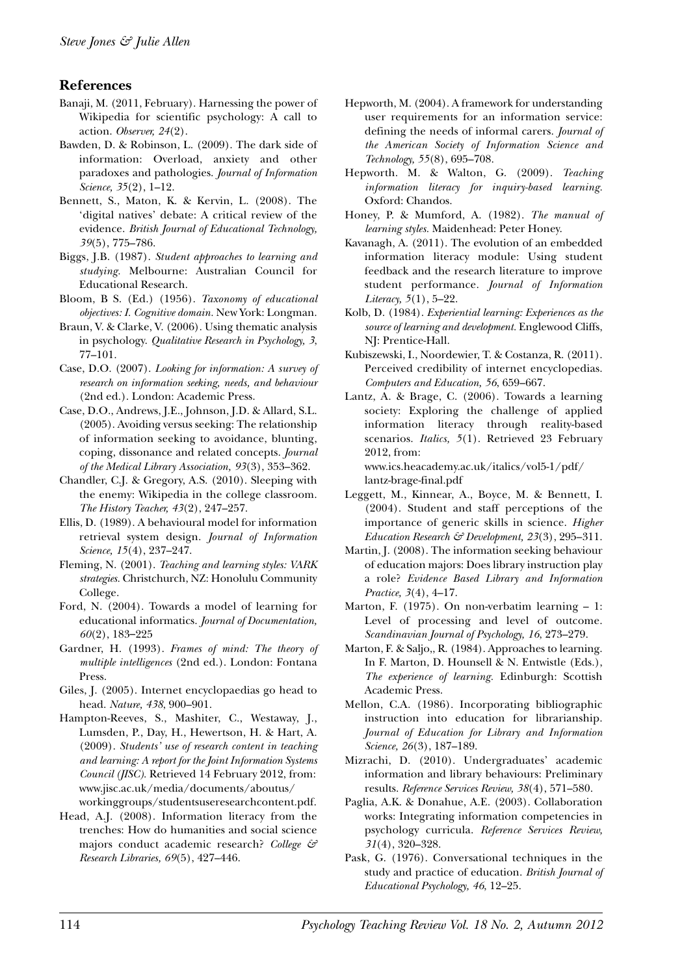#### **References**

- Banaji, M. (2011, February). Harnessing the power of Wikipedia for scientific psychology: A call to action. *Observer, 24*(2).
- Bawden, D. & Robinson, L. (2009). The dark side of information: Overload, anxiety and other paradoxes and pathologies. *Journal of Information Science, 35*(2), 1–12.
- Bennett, S., Maton, K. & Kervin, L. (2008). The 'digital natives' debate: A critical review of the evidence. *British Journal of Educational Technology, 39*(5), 775–786.
- Biggs, J.B. (1987). *Student approaches to learning and studying.* Melbourne: Australian Council for Educational Research.
- Bloom, B S. (Ed.) (1956). *Taxonomy of educational objectives: I. Cognitive domain.* New York: Longman.
- Braun, V. & Clarke, V. (2006). Using thematic analysis in psychology. *Qualitative Research in Psychology, 3*, 77–101.
- Case, D.O. (2007). *Looking for information: A survey of research on information seeking, needs, and behaviour* (2nd ed.). London: Academic Press.
- Case, D.O., Andrews, J.E., Johnson, J.D. & Allard, S.L. (2005). Avoiding versus seeking: The relationship of information seeking to avoidance, blunting, coping, dissonance and related concepts. *Journal of the Medical Library Association, 93*(3), 353–362.
- Chandler, C.J. & Gregory, A.S. (2010). Sleeping with the enemy: Wikipedia in the college classroom. *The History Teacher, 43*(2), 247–257.
- Ellis, D. (1989). A behavioural model for information retrieval system design. *Journal of Information Science, 15*(4), 237–247.
- Fleming, N. (2001). *Teaching and learning styles: VARK strategies.* Christchurch, NZ: Honolulu Community College.
- Ford, N. (2004). Towards a model of learning for educational informatics. *Journal of Documentation, 60*(2), 183–225
- Gardner, H. (1993). *Frames of mind: The theory of multiple intelligences* (2nd ed.). London: Fontana Press.
- Giles, J. (2005). Internet encyclopaedias go head to head. *Nature, 438*, 900–901.
- Hampton-Reeves, S., Mashiter, C., Westaway, J., Lumsden, P., Day, H., Hewertson, H. & Hart, A. (2009). *Students' use of research content in teaching and learning: A report for the Joint Information Systems Council (JISC).* Retrieved 14 February 2012, from: www.jisc.ac.uk/media/documents/aboutus/ workinggroups/studentsuseresearchcontent.pdf.
- Head, A.J. (2008). Information literacy from the trenches: How do humanities and social science majors conduct academic research? *College & Research Libraries, 69*(5), 427–446.
- Hepworth, M. (2004). A framework for understanding user requirements for an information service: defining the needs of informal carers. *Journal of the American Society of Information Science and Technology, 55*(8), 695–708.
- Hepworth. M. & Walton, G. (2009). *Teaching information literacy for inquiry-based learning.* Oxford: Chandos.
- Honey, P. & Mumford, A. (1982). *The manual of learning styles.* Maidenhead: Peter Honey.
- Kavanagh, A. (2011). The evolution of an embedded information literacy module: Using student feedback and the research literature to improve student performance. *Journal of Information Literacy, 5*(1), 5–22.
- Kolb, D. (1984). *Experiential learning: Experiences as the source of learning and development.* Englewood Cliffs, NJ: Prentice-Hall.
- Kubiszewski, I., Noordewier, T. & Costanza, R. (2011). Perceived credibility of internet encyclopedias. *Computers and Education, 56*, 659–667.
- Lantz, A. & Brage, C. (2006). Towards a learning society: Exploring the challenge of applied information literacy through reality-based scenarios. *Italics, 5*(1). Retrieved 23 February 2012, from:

www.ics.heacademy.ac.uk/italics/vol5-1/pdf/ lantz-brage-final.pdf

- Leggett, M., Kinnear, A., Boyce, M. & Bennett, I. (2004). Student and staff perceptions of the importance of generic skills in science. *Higher Education Research & Development, 23*(3), 295–311.
- Martin, J. (2008). The information seeking behaviour of education majors: Does library instruction play a role? *Evidence Based Library and Information Practice, 3*(4), 4–17.
- Marton, F. (1975). On non-verbatim learning 1: Level of processing and level of outcome. *Scandinavian Journal of Psychology, 16*, 273–279.
- Marton, F. & Saljo,, R. (1984). Approaches to learning. In F. Marton, D. Hounsell & N. Entwistle (Eds.), *The experience of learning.* Edinburgh: Scottish Academic Press.
- Mellon, C.A. (1986). Incorporating bibliographic instruction into education for librarianship. *Journal of Education for Library and Information Science, 26*(3), 187–189.
- Mizrachi, D. (2010). Undergraduates' academic information and library behaviours: Preliminary results. *Reference Services Review, 38*(4), 571–580.
- Paglia, A.K. & Donahue, A.E. (2003). Collaboration works: Integrating information competencies in psychology curricula. *Reference Services Review, 31*(4), 320–328.
- Pask, G. (1976). Conversational techniques in the study and practice of education. *British Journal of Educational Psychology, 46*, 12–25.